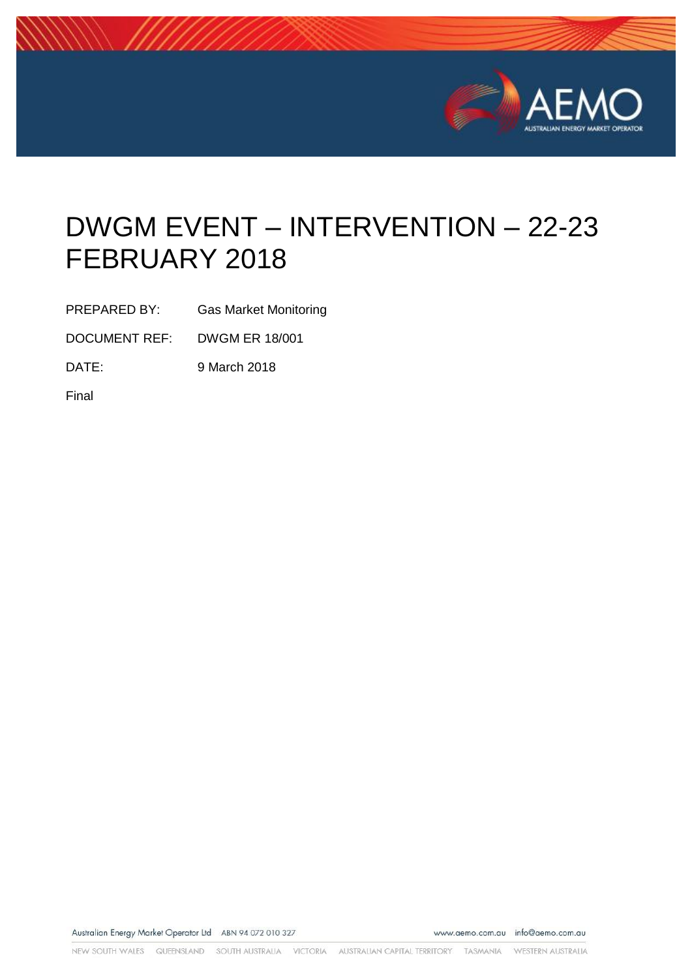

# DWGM EVENT – INTERVENTION – 22-23 FEBRUARY 2018

PREPARED BY: Gas Market Monitoring

DOCUMENT REF: DWGM ER 18/001

DATE: 9 March 2018

Final

Australian Energy Market Operator Ltd ABN 94 072 010 327

www.aemo.com.au info@aemo.com.au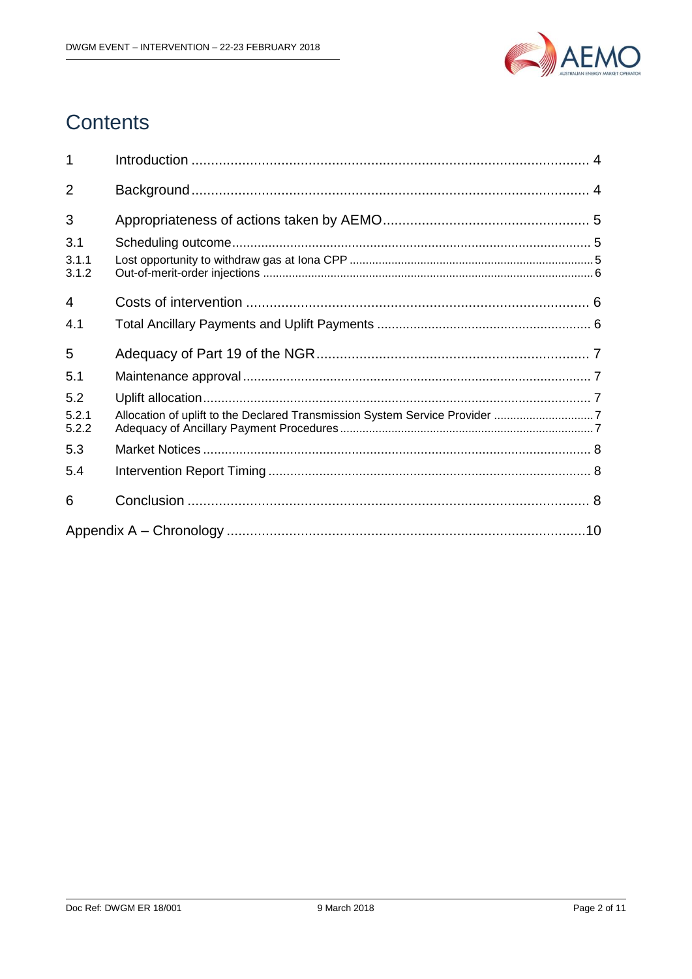

## **Contents**

| 1              |                                                                             |  |
|----------------|-----------------------------------------------------------------------------|--|
| $\overline{2}$ |                                                                             |  |
| 3              |                                                                             |  |
| 3.1            |                                                                             |  |
| 3.1.1<br>3.1.2 |                                                                             |  |
| $\overline{4}$ |                                                                             |  |
| 4.1            |                                                                             |  |
| 5              |                                                                             |  |
| 5.1            |                                                                             |  |
| 5.2            |                                                                             |  |
| 5.2.1<br>5.2.2 | Allocation of uplift to the Declared Transmission System Service Provider 7 |  |
| 5.3            |                                                                             |  |
| 5.4            |                                                                             |  |
| 6              |                                                                             |  |
|                |                                                                             |  |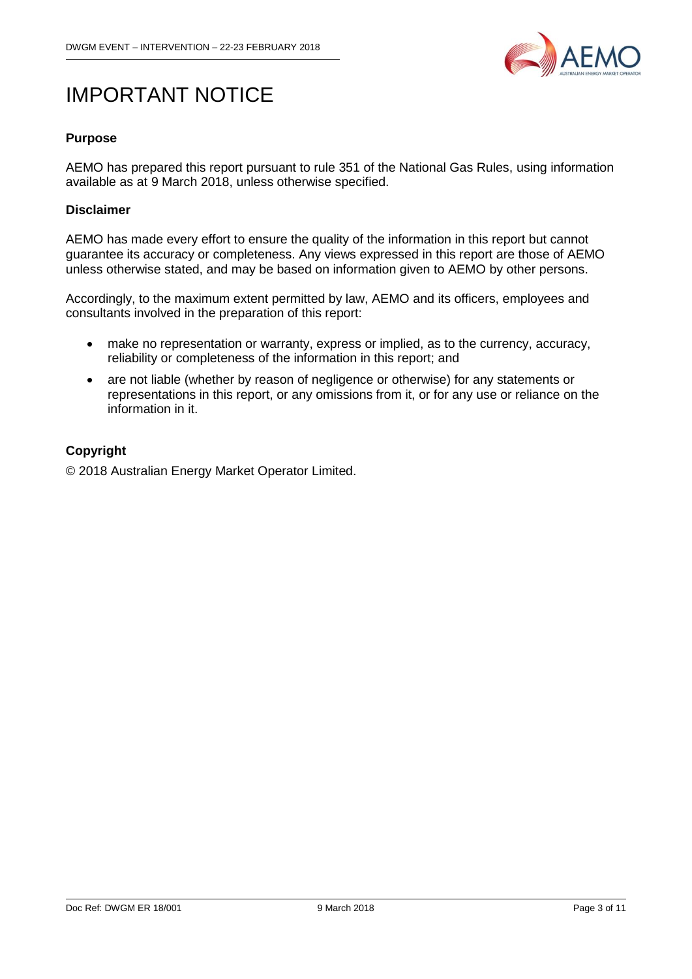

## IMPORTANT NOTICE

#### **Purpose**

AEMO has prepared this report pursuant to rule 351 of the National Gas Rules, using information available as at 9 March 2018, unless otherwise specified.

#### **Disclaimer**

AEMO has made every effort to ensure the quality of the information in this report but cannot guarantee its accuracy or completeness. Any views expressed in this report are those of AEMO unless otherwise stated, and may be based on information given to AEMO by other persons.

Accordingly, to the maximum extent permitted by law, AEMO and its officers, employees and consultants involved in the preparation of this report:

- make no representation or warranty, express or implied, as to the currency, accuracy, reliability or completeness of the information in this report; and
- are not liable (whether by reason of negligence or otherwise) for any statements or representations in this report, or any omissions from it, or for any use or reliance on the information in it.

#### **Copyright**

© 2018 Australian Energy Market Operator Limited.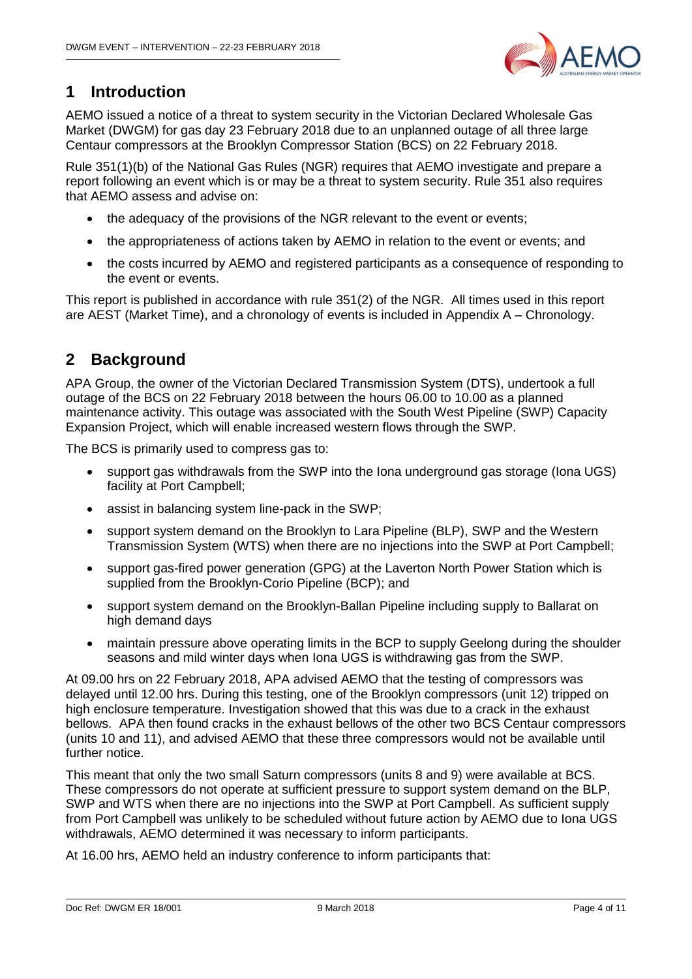

## <span id="page-3-0"></span>**1 Introduction**

AEMO issued a notice of a threat to system security in the Victorian Declared Wholesale Gas Market (DWGM) for gas day 23 February 2018 due to an unplanned outage of all three large Centaur compressors at the Brooklyn Compressor Station (BCS) on 22 February 2018.

Rule 351(1)(b) of the National Gas Rules (NGR) requires that AEMO investigate and prepare a report following an event which is or may be a threat to system security. Rule 351 also requires that AEMO assess and advise on:

- the adequacy of the provisions of the NGR relevant to the event or events;
- the appropriateness of actions taken by AEMO in relation to the event or events; and
- the costs incurred by AEMO and registered participants as a consequence of responding to the event or events.

This report is published in accordance with rule 351(2) of the NGR. All times used in this report are AEST (Market Time), and a chronology of events is included in [Appendix A –](#page-9-0) Chronology.

## <span id="page-3-1"></span>**2 Background**

APA Group, the owner of the Victorian Declared Transmission System (DTS), undertook a full outage of the BCS on 22 February 2018 between the hours 06.00 to 10.00 as a planned maintenance activity. This outage was associated with the South West Pipeline (SWP) Capacity Expansion Project, which will enable increased western flows through the SWP.

The BCS is primarily used to compress gas to:

- support gas withdrawals from the SWP into the Iona underground gas storage (Iona UGS) facility at Port Campbell;
- assist in balancing system line-pack in the SWP;
- support system demand on the Brooklyn to Lara Pipeline (BLP), SWP and the Western Transmission System (WTS) when there are no injections into the SWP at Port Campbell;
- support gas-fired power generation (GPG) at the Laverton North Power Station which is supplied from the Brooklyn-Corio Pipeline (BCP); and
- support system demand on the Brooklyn-Ballan Pipeline including supply to Ballarat on high demand days
- maintain pressure above operating limits in the BCP to supply Geelong during the shoulder seasons and mild winter days when Iona UGS is withdrawing gas from the SWP.

At 09.00 hrs on 22 February 2018, APA advised AEMO that the testing of compressors was delayed until 12.00 hrs. During this testing, one of the Brooklyn compressors (unit 12) tripped on high enclosure temperature. Investigation showed that this was due to a crack in the exhaust bellows. APA then found cracks in the exhaust bellows of the other two BCS Centaur compressors (units 10 and 11), and advised AEMO that these three compressors would not be available until further notice.

This meant that only the two small Saturn compressors (units 8 and 9) were available at BCS. These compressors do not operate at sufficient pressure to support system demand on the BLP, SWP and WTS when there are no injections into the SWP at Port Campbell. As sufficient supply from Port Campbell was unlikely to be scheduled without future action by AEMO due to Iona UGS withdrawals, AEMO determined it was necessary to inform participants.

At 16.00 hrs, AEMO held an industry conference to inform participants that: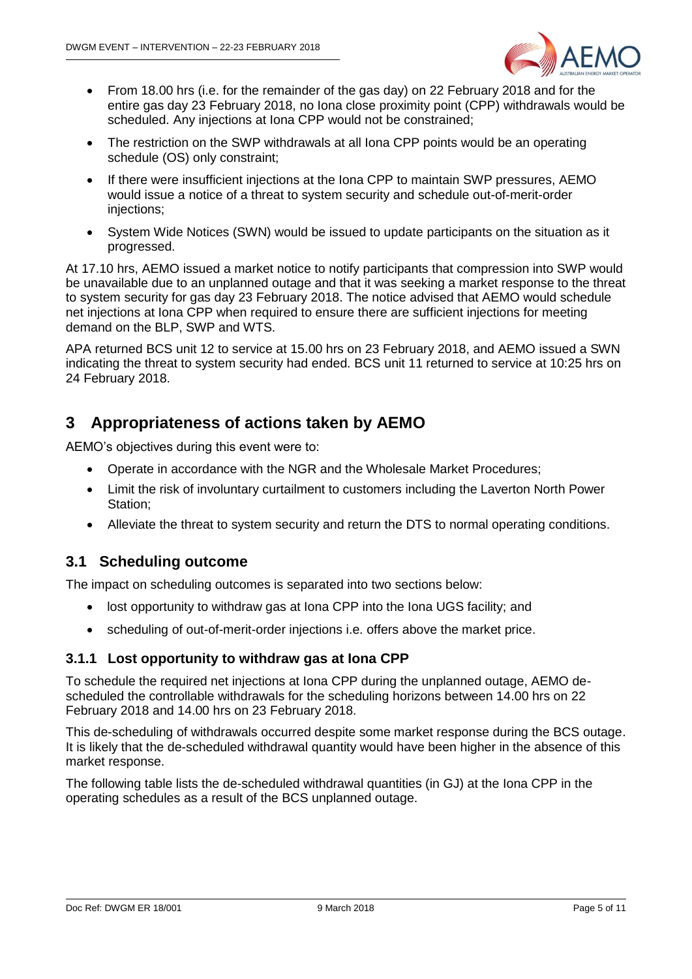

- From 18.00 hrs (i.e. for the remainder of the gas day) on 22 February 2018 and for the entire gas day 23 February 2018, no Iona close proximity point (CPP) withdrawals would be scheduled. Any injections at Iona CPP would not be constrained;
- The restriction on the SWP withdrawals at all lona CPP points would be an operating schedule (OS) only constraint;
- If there were insufficient injections at the Iona CPP to maintain SWP pressures, AEMO would issue a notice of a threat to system security and schedule out-of-merit-order injections;
- System Wide Notices (SWN) would be issued to update participants on the situation as it progressed.

At 17.10 hrs, AEMO issued a market notice to notify participants that compression into SWP would be unavailable due to an unplanned outage and that it was seeking a market response to the threat to system security for gas day 23 February 2018. The notice advised that AEMO would schedule net injections at Iona CPP when required to ensure there are sufficient injections for meeting demand on the BLP, SWP and WTS.

APA returned BCS unit 12 to service at 15.00 hrs on 23 February 2018, and AEMO issued a SWN indicating the threat to system security had ended. BCS unit 11 returned to service at 10:25 hrs on 24 February 2018.

## <span id="page-4-0"></span>**3 Appropriateness of actions taken by AEMO**

AEMO's objectives during this event were to:

- Operate in accordance with the NGR and the Wholesale Market Procedures;
- Limit the risk of involuntary curtailment to customers including the Laverton North Power Station;
- Alleviate the threat to system security and return the DTS to normal operating conditions.

### <span id="page-4-1"></span>**3.1 Scheduling outcome**

The impact on scheduling outcomes is separated into two sections below:

- lost opportunity to withdraw gas at Iona CPP into the Iona UGS facility; and
- scheduling of out-of-merit-order injections i.e. offers above the market price.

#### <span id="page-4-2"></span>**3.1.1 Lost opportunity to withdraw gas at Iona CPP**

To schedule the required net injections at Iona CPP during the unplanned outage, AEMO descheduled the controllable withdrawals for the scheduling horizons between 14.00 hrs on 22 February 2018 and 14.00 hrs on 23 February 2018.

This de-scheduling of withdrawals occurred despite some market response during the BCS outage. It is likely that the de-scheduled withdrawal quantity would have been higher in the absence of this market response.

The following table lists the de-scheduled withdrawal quantities (in GJ) at the Iona CPP in the operating schedules as a result of the BCS unplanned outage.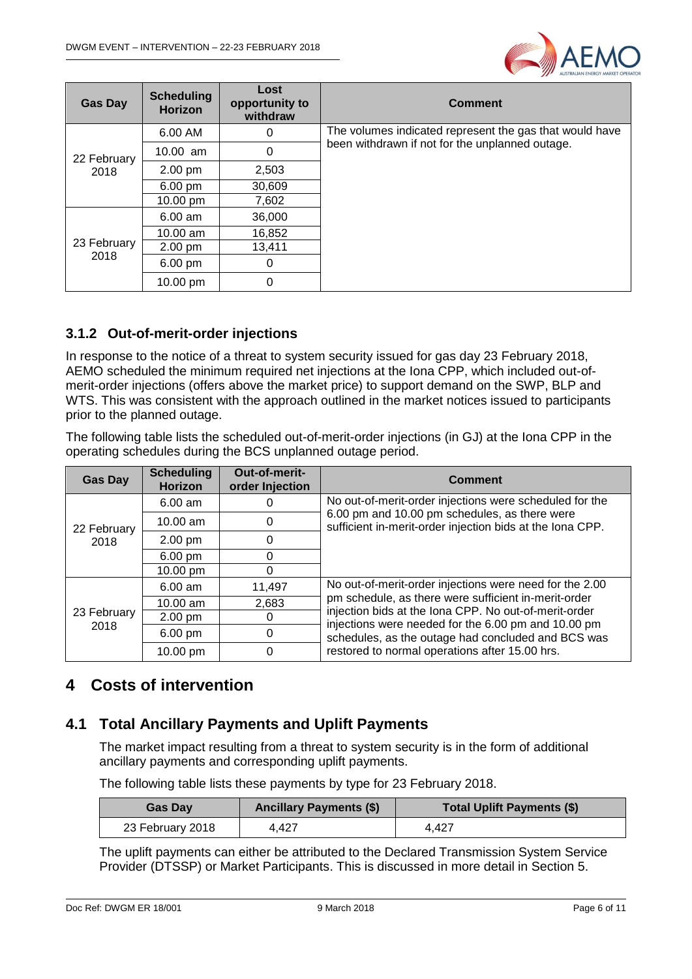

| <b>Gas Day</b> | <b>Scheduling</b><br><b>Horizon</b> | Lost<br>opportunity to<br>withdraw | <b>Comment</b>                                          |
|----------------|-------------------------------------|------------------------------------|---------------------------------------------------------|
|                | 6.00 AM                             | 0                                  | The volumes indicated represent the gas that would have |
| 22 February    | $10.00$ am                          | 0                                  | been withdrawn if not for the unplanned outage.         |
| 2018           | $2.00 \text{ pm}$                   | 2,503                              |                                                         |
|                | $6.00 \text{ pm}$                   | 30,609                             |                                                         |
|                | 10.00 pm                            | 7,602                              |                                                         |
|                | $6.00$ am                           | 36,000                             |                                                         |
|                | 10.00 am                            | 16,852                             |                                                         |
| 23 February    | 2.00 pm                             | 13,411                             |                                                         |
| 2018           | $6.00 \text{ pm}$                   | 0                                  |                                                         |
|                | 10.00 pm                            | 0                                  |                                                         |

#### <span id="page-5-0"></span>**3.1.2 Out-of-merit-order injections**

In response to the notice of a threat to system security issued for gas day 23 February 2018, AEMO scheduled the minimum required net injections at the Iona CPP, which included out-ofmerit-order injections (offers above the market price) to support demand on the SWP, BLP and WTS. This was consistent with the approach outlined in the market notices issued to participants prior to the planned outage.

The following table lists the scheduled out-of-merit-order injections (in GJ) at the Iona CPP in the operating schedules during the BCS unplanned outage period.

| <b>Gas Day</b>      | <b>Scheduling</b><br><b>Horizon</b> | Out-of-merit-<br>order Injection | <b>Comment</b>                                                                                                                                                     |
|---------------------|-------------------------------------|----------------------------------|--------------------------------------------------------------------------------------------------------------------------------------------------------------------|
| 22 February<br>2018 | $6.00$ am                           |                                  | No out-of-merit-order injections were scheduled for the                                                                                                            |
|                     | $10.00$ am                          | 0                                | 6.00 pm and 10.00 pm schedules, as there were<br>sufficient in-merit-order injection bids at the Iona CPP.                                                         |
|                     | $2.00$ pm                           | 0                                |                                                                                                                                                                    |
|                     | $6.00 \text{ pm}$                   |                                  |                                                                                                                                                                    |
|                     | 10.00 pm                            | 0                                |                                                                                                                                                                    |
|                     | $6.00$ am                           | 11,497                           | No out-of-merit-order injections were need for the 2.00                                                                                                            |
|                     | 10.00 am                            | 2,683                            | pm schedule, as there were sufficient in-merit-order                                                                                                               |
| 23 February<br>2018 | $2.00 \text{ pm}$                   |                                  | injection bids at the Iona CPP. No out-of-merit-order<br>injections were needed for the 6.00 pm and 10.00 pm<br>schedules, as the outage had concluded and BCS was |
|                     | $6.00 \text{ pm}$                   | 0                                |                                                                                                                                                                    |
|                     | 10.00 pm                            | 0                                | restored to normal operations after 15.00 hrs.                                                                                                                     |

## <span id="page-5-1"></span>**4 Costs of intervention**

### <span id="page-5-2"></span>**4.1 Total Ancillary Payments and Uplift Payments**

The market impact resulting from a threat to system security is in the form of additional ancillary payments and corresponding uplift payments.

The following table lists these payments by type for 23 February 2018.

| <b>Gas Day</b>   | <b>Ancillary Payments (\$)</b> | <b>Total Uplift Payments (\$)</b> |
|------------------|--------------------------------|-----------------------------------|
| 23 February 2018 | 4.427                          | 4.427                             |

The uplift payments can either be attributed to the Declared Transmission System Service Provider (DTSSP) or Market Participants. This is discussed in more detail in Section 5.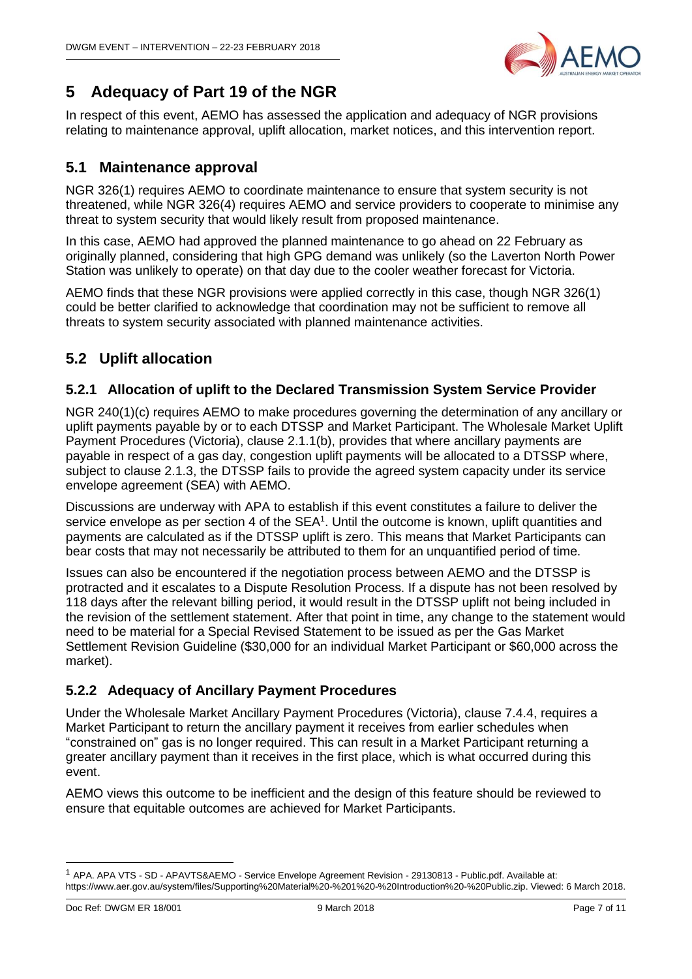

## <span id="page-6-0"></span>**5 Adequacy of Part 19 of the NGR**

In respect of this event, AEMO has assessed the application and adequacy of NGR provisions relating to maintenance approval, uplift allocation, market notices, and this intervention report.

### <span id="page-6-1"></span>**5.1 Maintenance approval**

NGR 326(1) requires AEMO to coordinate maintenance to ensure that system security is not threatened, while NGR 326(4) requires AEMO and service providers to cooperate to minimise any threat to system security that would likely result from proposed maintenance.

In this case, AEMO had approved the planned maintenance to go ahead on 22 February as originally planned, considering that high GPG demand was unlikely (so the Laverton North Power Station was unlikely to operate) on that day due to the cooler weather forecast for Victoria.

AEMO finds that these NGR provisions were applied correctly in this case, though NGR 326(1) could be better clarified to acknowledge that coordination may not be sufficient to remove all threats to system security associated with planned maintenance activities.

## <span id="page-6-2"></span>**5.2 Uplift allocation**

#### <span id="page-6-3"></span>**5.2.1 Allocation of uplift to the Declared Transmission System Service Provider**

NGR 240(1)(c) requires AEMO to make procedures governing the determination of any ancillary or uplift payments payable by or to each DTSSP and Market Participant. The Wholesale Market Uplift Payment Procedures (Victoria), clause 2.1.1(b), provides that where ancillary payments are payable in respect of a gas day, congestion uplift payments will be allocated to a DTSSP where, subject to clause 2.1.3, the DTSSP fails to provide the agreed system capacity under its service envelope agreement (SEA) with AEMO.

Discussions are underway with APA to establish if this event constitutes a failure to deliver the service envelope as per section 4 of the  $SEA<sup>1</sup>$ . Until the outcome is known, uplift quantities and payments are calculated as if the DTSSP uplift is zero. This means that Market Participants can bear costs that may not necessarily be attributed to them for an unquantified period of time.

Issues can also be encountered if the negotiation process between AEMO and the DTSSP is protracted and it escalates to a Dispute Resolution Process. If a dispute has not been resolved by 118 days after the relevant billing period, it would result in the DTSSP uplift not being included in the revision of the settlement statement. After that point in time, any change to the statement would need to be material for a Special Revised Statement to be issued as per the Gas Market Settlement Revision Guideline (\$30,000 for an individual Market Participant or \$60,000 across the market).

### <span id="page-6-4"></span>**5.2.2 Adequacy of Ancillary Payment Procedures**

Under the Wholesale Market Ancillary Payment Procedures (Victoria), clause 7.4.4, requires a Market Participant to return the ancillary payment it receives from earlier schedules when "constrained on" gas is no longer required. This can result in a Market Participant returning a greater ancillary payment than it receives in the first place, which is what occurred during this event.

AEMO views this outcome to be inefficient and the design of this feature should be reviewed to ensure that equitable outcomes are achieved for Market Participants.

-

<sup>1</sup> APA. APA VTS - SD - APAVTS&AEMO - Service Envelope Agreement Revision - 29130813 - Public.pdf. Available at: https://www.aer.gov.au/system/files/Supporting%20Material%20-%201%20-%20Introduction%20-%20Public.zip. Viewed: 6 March 2018.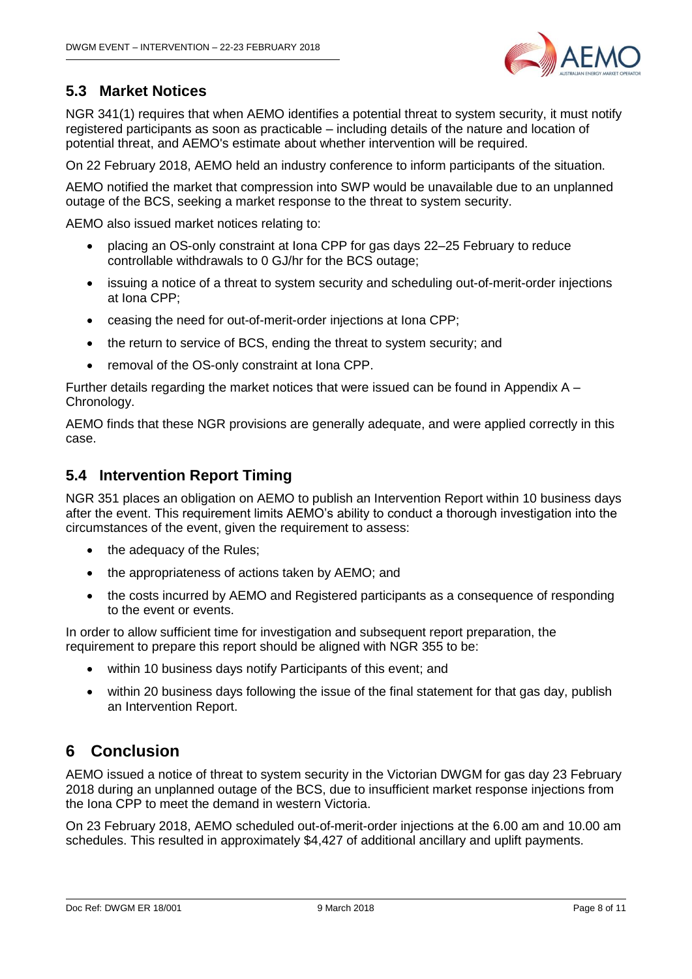

## <span id="page-7-0"></span>**5.3 Market Notices**

NGR 341(1) requires that when AEMO identifies a potential threat to system security, it must notify registered participants as soon as practicable – including details of the nature and location of potential threat, and AEMO's estimate about whether intervention will be required.

On 22 February 2018, AEMO held an industry conference to inform participants of the situation.

AEMO notified the market that compression into SWP would be unavailable due to an unplanned outage of the BCS, seeking a market response to the threat to system security.

AEMO also issued market notices relating to:

- placing an OS-only constraint at Iona CPP for gas days 22–25 February to reduce controllable withdrawals to 0 GJ/hr for the BCS outage;
- issuing a notice of a threat to system security and scheduling out-of-merit-order injections at Iona CPP;
- ceasing the need for out-of-merit-order injections at Iona CPP;
- the return to service of BCS, ending the threat to system security; and
- removal of the OS-only constraint at Iona CPP.

Further details regarding the market notices that were issued can be found in [Appendix A –](#page-9-0) [Chronology.](#page-9-0)

AEMO finds that these NGR provisions are generally adequate, and were applied correctly in this case.

### <span id="page-7-1"></span>**5.4 Intervention Report Timing**

NGR 351 places an obligation on AEMO to publish an Intervention Report within 10 business days after the event. This requirement limits AEMO's ability to conduct a thorough investigation into the circumstances of the event, given the requirement to assess:

- the adequacy of the Rules:
- the appropriateness of actions taken by AEMO; and
- the costs incurred by AEMO and Registered participants as a consequence of responding to the event or events.

In order to allow sufficient time for investigation and subsequent report preparation, the requirement to prepare this report should be aligned with NGR 355 to be:

- within 10 business days notify Participants of this event; and
- within 20 business days following the issue of the final statement for that gas day, publish an Intervention Report.

## <span id="page-7-2"></span>**6 Conclusion**

AEMO issued a notice of threat to system security in the Victorian DWGM for gas day 23 February 2018 during an unplanned outage of the BCS, due to insufficient market response injections from the Iona CPP to meet the demand in western Victoria.

On 23 February 2018, AEMO scheduled out-of-merit-order injections at the 6.00 am and 10.00 am schedules. This resulted in approximately \$4,427 of additional ancillary and uplift payments.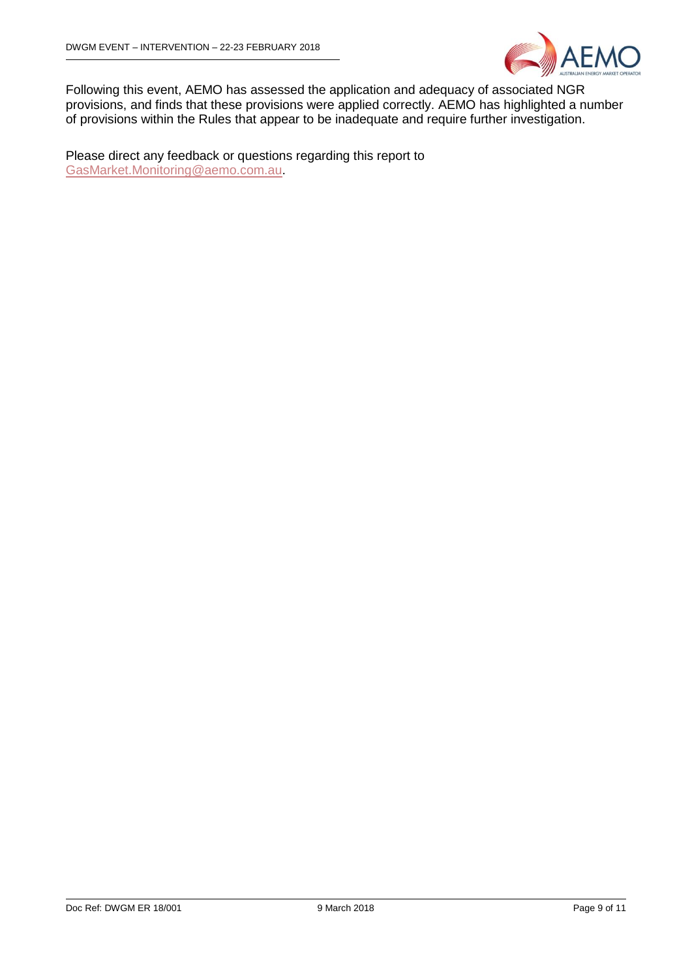

Following this event, AEMO has assessed the application and adequacy of associated NGR provisions, and finds that these provisions were applied correctly. AEMO has highlighted a number of provisions within the Rules that appear to be inadequate and require further investigation.

Please direct any feedback or questions regarding this report to [GasMarket.Monitoring@aemo.com.au.](mailto:GasMarket.Monitoring@aemo.com.au)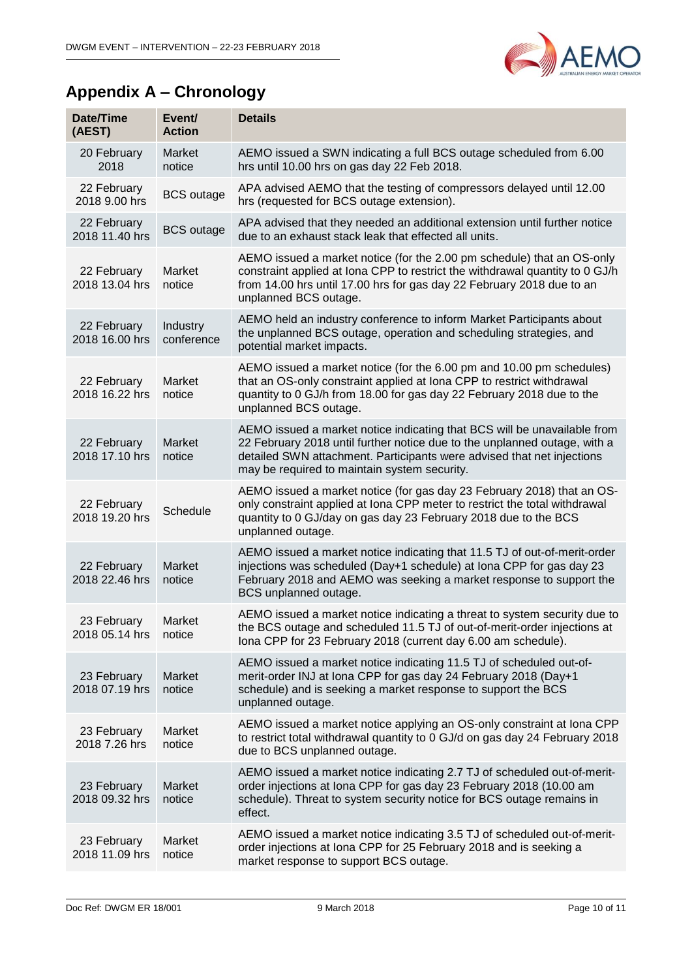

## <span id="page-9-0"></span>**Appendix A – Chronology**

| Date/Time<br>(AEST)           | Event/<br><b>Action</b> | <b>Details</b>                                                                                                                                                                                                                                                                  |
|-------------------------------|-------------------------|---------------------------------------------------------------------------------------------------------------------------------------------------------------------------------------------------------------------------------------------------------------------------------|
| 20 February<br>2018           | Market<br>notice        | AEMO issued a SWN indicating a full BCS outage scheduled from 6.00<br>hrs until 10.00 hrs on gas day 22 Feb 2018.                                                                                                                                                               |
| 22 February<br>2018 9.00 hrs  | <b>BCS</b> outage       | APA advised AEMO that the testing of compressors delayed until 12.00<br>hrs (requested for BCS outage extension).                                                                                                                                                               |
| 22 February<br>2018 11.40 hrs | <b>BCS</b> outage       | APA advised that they needed an additional extension until further notice<br>due to an exhaust stack leak that effected all units.                                                                                                                                              |
| 22 February<br>2018 13.04 hrs | Market<br>notice        | AEMO issued a market notice (for the 2.00 pm schedule) that an OS-only<br>constraint applied at Iona CPP to restrict the withdrawal quantity to 0 GJ/h<br>from 14.00 hrs until 17.00 hrs for gas day 22 February 2018 due to an<br>unplanned BCS outage.                        |
| 22 February<br>2018 16,00 hrs | Industry<br>conference  | AEMO held an industry conference to inform Market Participants about<br>the unplanned BCS outage, operation and scheduling strategies, and<br>potential market impacts.                                                                                                         |
| 22 February<br>2018 16.22 hrs | Market<br>notice        | AEMO issued a market notice (for the 6.00 pm and 10.00 pm schedules)<br>that an OS-only constraint applied at Iona CPP to restrict withdrawal<br>quantity to 0 GJ/h from 18.00 for gas day 22 February 2018 due to the<br>unplanned BCS outage.                                 |
| 22 February<br>2018 17.10 hrs | Market<br>notice        | AEMO issued a market notice indicating that BCS will be unavailable from<br>22 February 2018 until further notice due to the unplanned outage, with a<br>detailed SWN attachment. Participants were advised that net injections<br>may be required to maintain system security. |
| 22 February<br>2018 19.20 hrs | Schedule                | AEMO issued a market notice (for gas day 23 February 2018) that an OS-<br>only constraint applied at Iona CPP meter to restrict the total withdrawal<br>quantity to 0 GJ/day on gas day 23 February 2018 due to the BCS<br>unplanned outage.                                    |
| 22 February<br>2018 22.46 hrs | <b>Market</b><br>notice | AEMO issued a market notice indicating that 11.5 TJ of out-of-merit-order<br>injections was scheduled (Day+1 schedule) at lona CPP for gas day 23<br>February 2018 and AEMO was seeking a market response to support the<br>BCS unplanned outage.                               |
| 23 February<br>2018 05.14 hrs | Market<br>notice        | AEMO issued a market notice indicating a threat to system security due to<br>the BCS outage and scheduled 11.5 TJ of out-of-merit-order injections at<br>Iona CPP for 23 February 2018 (current day 6.00 am schedule).                                                          |
| 23 February<br>2018 07.19 hrs | <b>Market</b><br>notice | AEMO issued a market notice indicating 11.5 TJ of scheduled out-of-<br>merit-order INJ at Iona CPP for gas day 24 February 2018 (Day+1<br>schedule) and is seeking a market response to support the BCS<br>unplanned outage.                                                    |
| 23 February<br>2018 7.26 hrs  | Market<br>notice        | AEMO issued a market notice applying an OS-only constraint at lona CPP<br>to restrict total withdrawal quantity to 0 GJ/d on gas day 24 February 2018<br>due to BCS unplanned outage.                                                                                           |
| 23 February<br>2018 09.32 hrs | Market<br>notice        | AEMO issued a market notice indicating 2.7 TJ of scheduled out-of-merit-<br>order injections at Iona CPP for gas day 23 February 2018 (10.00 am<br>schedule). Threat to system security notice for BCS outage remains in<br>effect.                                             |
| 23 February<br>2018 11.09 hrs | Market<br>notice        | AEMO issued a market notice indicating 3.5 TJ of scheduled out-of-merit-<br>order injections at Iona CPP for 25 February 2018 and is seeking a<br>market response to support BCS outage.                                                                                        |